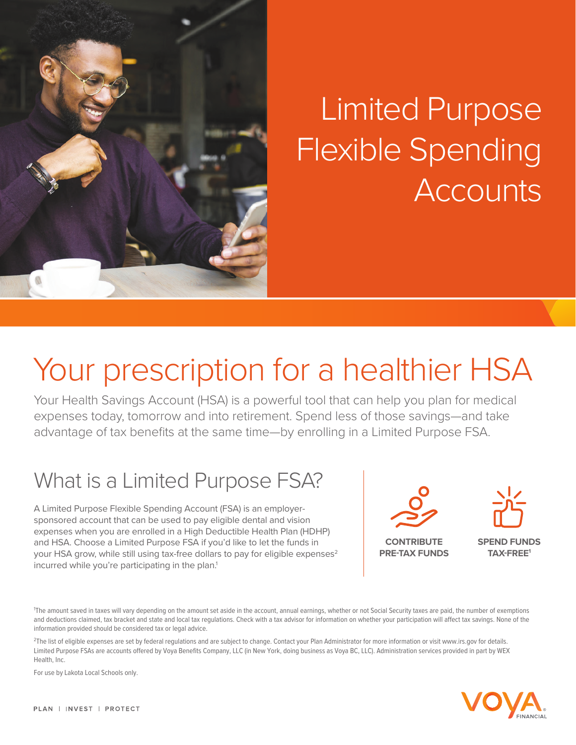

# Limited Purpose Flexible Spending **Accounts**

## Your prescription for a healthier HSA

Your Health Savings Account (HSA) is a powerful tool that can help you plan for medical expenses today, tomorrow and into retirement. Spend less of those savings—and take advantage of tax benefits at the same time—by enrolling in a Limited Purpose FSA.

### What is a Limited Purpose FSA?

A Limited Purpose Flexible Spending Account (FSA) is an employersponsored account that can be used to pay eligible dental and vision expenses when you are enrolled in a High Deductible Health Plan (HDHP) and HSA. Choose a Limited Purpose FSA if you'd like to let the funds in your HSA grow, while still using tax-free dollars to pay for eligible expenses<sup>2</sup> incurred while you're participating in the plan.<sup>1</sup>



**CONTRIBUTE PRE-TAX FUNDS**  **SPEND FUNDS TAX-FREE1**

<sup>1</sup>The amount saved in taxes will vary depending on the amount set aside in the account, annual earnings, whether or not Social Security taxes are paid, the number of exemptions and deductions claimed, tax bracket and state and local tax regulations. Check with a tax advisor for information on whether your participation will affect tax savings. None of the information provided should be considered tax or legal advice.

<sup>2</sup>The list of eligible expenses are set by federal regulations and are subject to change. Contact your Plan Administrator for more information or visit www.irs.gov for details. Limited Purpose FSAs are accounts offered by Voya Benefits Company, LLC (in New York, doing business as Voya BC, LLC). Administration services provided in part by WEX Health, Inc.

For use by Lakota Local Schools only.

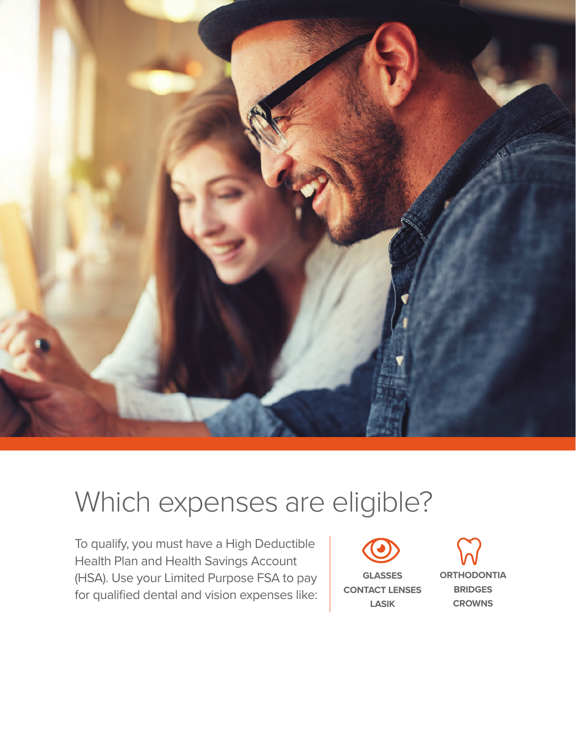

### Which expenses are eligible?

To qualify, you must have a High Deductible Health Plan and Health Savings Account (HSA). Use your Limited Purpose FSA to pay for qualified dental and vision expenses like:



**GLASSES CONTACT LENSES LASIK**

**ORTHODONTIA BRIDGES CROWNS**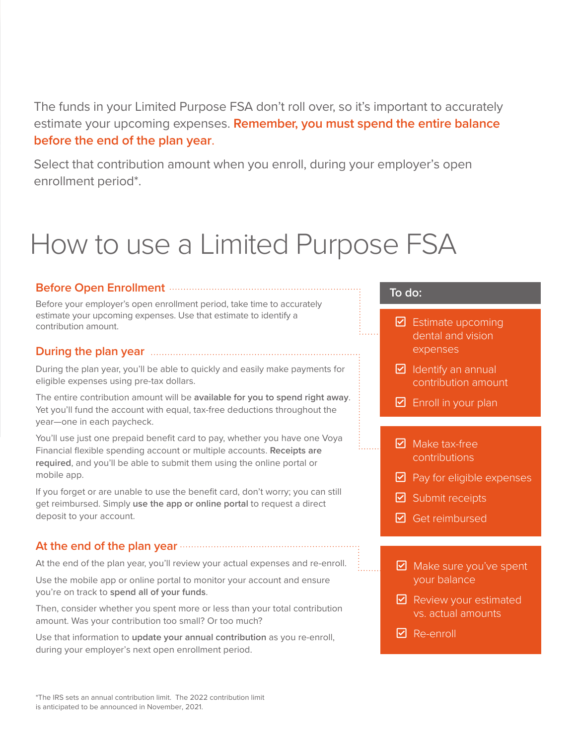The funds in your Limited Purpose FSA don't roll over, so it's important to accurately estimate your upcoming expenses. **Remember, you must spend the entire balance before the end of the plan year**.

Select that contribution amount when you enroll, during your employer's open enrollment period\*.

### How to use a Limited Purpose FSA

#### **Before Open Enrollment**

Before your employer's open enrollment period, take time to accurately estimate your upcoming expenses. Use that estimate to identify a contribution amount.

#### **During the plan year**

During the plan year, you'll be able to quickly and easily make payments for eligible expenses using pre-tax dollars.

The entire contribution amount will be **available for you to spend right away**. Yet you'll fund the account with equal, tax-free deductions throughout the year—one in each paycheck.

You'll use just one prepaid benefit card to pay, whether you have one Voya Financial flexible spending account or multiple accounts. **Receipts are required**, and you'll be able to submit them using the online portal or mobile app.

If you forget or are unable to use the benefit card, don't worry; you can still get reimbursed. Simply **use the app or online portal** to request a direct deposit to your account.

#### **At the end of the plan year**

At the end of the plan year, you'll review your actual expenses and re-enroll.

Use the mobile app or online portal to monitor your account and ensure you're on track to **spend all of your funds**.

Then, consider whether you spent more or less than your total contribution amount. Was your contribution too small? Or too much?

Use that information to **update your annual contribution** as you re-enroll, during your employer's next open enrollment period.

#### **To do:**

- $\triangleright$  Estimate upcoming dental and vision expenses
- $\triangleright$  Identify an annual contribution amount
- $\boxtimes$  Enroll in your plan
- $\nabla$  Make tax-free contributions
- $\triangleright$  Pay for eligible expenses
- $\boxdot$  Submit receipts
- $\boxdot$  Get reimbursed
- $\blacktriangleright$  Make sure you've spent your balance
- $\blacktriangleright$  Review your estimated vs. actual amounts
- $\triangleright$  Re-enroll